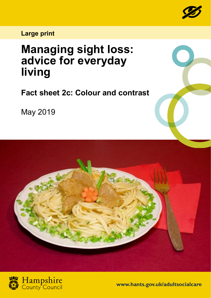

## **Large print**

## **Managing sight loss: advice for everyday living**

**Fact sheet 2c: Colour and contrast**

May 2019





**www.hants.gov.uk/adultsocialcare**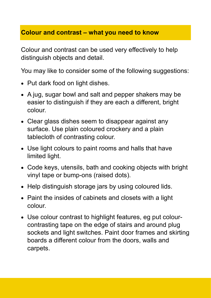## **Colour and contrast – what you need to know**

Colour and contrast can be used very effectively to help distinguish objects and detail.

You may like to consider some of the following suggestions:

- Put dark food on light dishes.
- A jug, sugar bowl and salt and pepper shakers may be easier to distinguish if they are each a different, bright colour.
- Clear glass dishes seem to disappear against any surface. Use plain coloured crockery and a plain tablecloth of contrasting colour.
- Use light colours to paint rooms and halls that have limited light.
- Code keys, utensils, bath and cooking objects with bright vinyl tape or bump-ons (raised dots).
- Help distinguish storage jars by using coloured lids.
- Paint the insides of cabinets and closets with a light colour.
- Use colour contrast to highlight features, eg put colourcontrasting tape on the edge of stairs and around plug sockets and light switches. Paint door frames and skirting boards a different colour from the doors, walls and carpets.